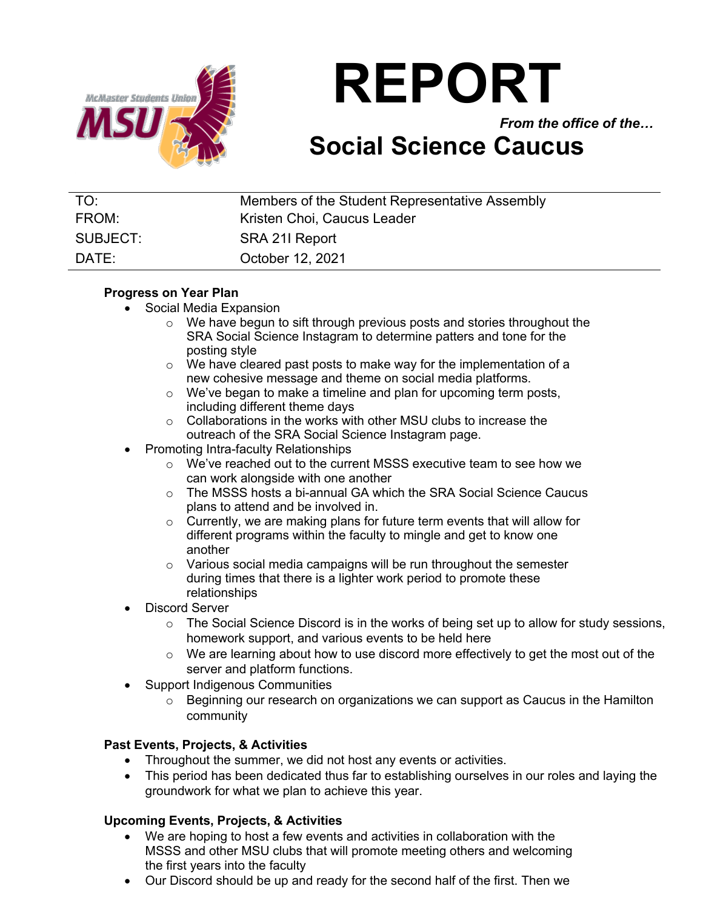

# **REPORT**

*From the office of the…*

# **Social Science Caucus**

| TO:      | Members of the Student Representative Assembly |
|----------|------------------------------------------------|
| FROM:    | Kristen Choi, Caucus Leader                    |
| SUBJECT: | SRA 21 Report                                  |
| DATE:    | October 12, 2021                               |

### **Progress on Year Plan**

- Social Media Expansion
	- $\circ$  We have begun to sift through previous posts and stories throughout the SRA Social Science Instagram to determine patters and tone for the posting style
	- $\circ$  We have cleared past posts to make way for the implementation of a new cohesive message and theme on social media platforms.
	- o We've began to make a timeline and plan for upcoming term posts, including different theme days
	- o Collaborations in the works with other MSU clubs to increase the outreach of the SRA Social Science Instagram page.
- Promoting Intra-faculty Relationships
	- $\circ$  We've reached out to the current MSSS executive team to see how we can work alongside with one another
	- o The MSSS hosts a bi-annual GA which the SRA Social Science Caucus plans to attend and be involved in.
	- o Currently, we are making plans for future term events that will allow for different programs within the faculty to mingle and get to know one another
	- o Various social media campaigns will be run throughout the semester during times that there is a lighter work period to promote these relationships
- Discord Server
	- $\circ$  The Social Science Discord is in the works of being set up to allow for study sessions, homework support, and various events to be held here
	- $\circ$  We are learning about how to use discord more effectively to get the most out of the server and platform functions.
- Support Indigenous Communities
	- o Beginning our research on organizations we can support as Caucus in the Hamilton community

# **Past Events, Projects, & Activities**

- Throughout the summer, we did not host any events or activities.
- This period has been dedicated thus far to establishing ourselves in our roles and laying the groundwork for what we plan to achieve this year.

# **Upcoming Events, Projects, & Activities**

- We are hoping to host a few events and activities in collaboration with the MSSS and other MSU clubs that will promote meeting others and welcoming the first years into the faculty
- Our Discord should be up and ready for the second half of the first. Then we